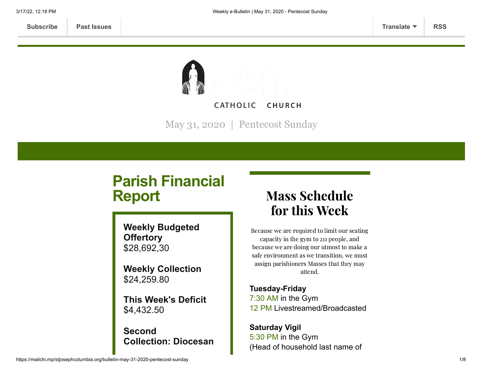

May 31, 2020 | Pentecost Sunday

# **Parish Financial Report**

**Weekly Budgeted Offertory** \$28,692,30

**Weekly Collection** \$24,259.80

**This Week's Deficit** \$4,432.50

# **Second Collection: Diocesan**

# Mass Schedule for this Week

Because we are required to limit our seating capacity in the gym to 211 people, and because we are doing our utmost to make a safe environment as we transition, we must assign parishioners Masses that they may attend.

**Tuesday-Friday** 7:30 AM in the Gym 12 PM Livestreamed/Broadcasted

**Saturday Vigil** 5:30 PM in the Gym (Head of household last name of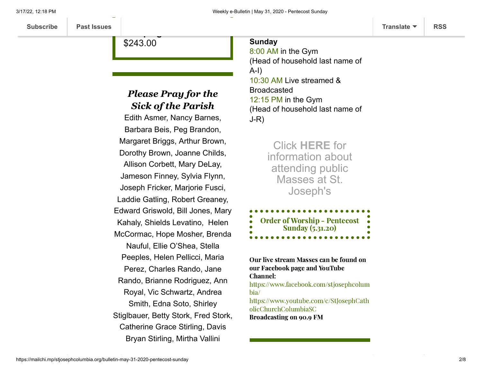\$243.00

**Campaign**

# *Please Pray for the Sick of the Parish*

Edith Asmer, Nancy Barnes, Barbara Beis, Peg Brandon, Margaret Briggs, Arthur Brown, Dorothy Brown, Joanne Childs, Allison Corbett, Mary DeLay, Jameson Finney, Sylvia Flynn, Joseph Fricker, Marjorie Fusci, Laddie Gatling, Robert Greaney, Edward Griswold, Bill Jones, Mary Kahaly, Shields Levatino, Helen McCormac, Hope Mosher, Brenda Nauful, Ellie O'Shea, Stella Peeples, Helen Pellicci, Maria Perez, Charles Rando, Jane Rando, Brianne Rodriguez, Ann Royal, Vic Schwartz, Andrea Smith, Edna Soto, Shirley Stiglbauer, Betty Stork, Fred Stork, Catherine Grace Stirling, Davis Bryan Stirling, Mirtha Vallini

#### **Sunday**

8:00 AM in the Gym (Head of household last name of A-I) 10:30 AM Live streamed & Broadcasted 12:15 PM in the Gym (Head of household last name of J-R)

> Click **[HERE](https://www.stjosephcolumbia.org/resuming-public-masses)** for information about attending public Masses at St. Joseph's

| <b>Order of Worship - Pentecost</b> |  |
|-------------------------------------|--|
| $\bullet$                           |  |
| <b>Sunday</b> (5.31.20)             |  |
|                                     |  |
| .<br>.                              |  |

Our live stream Masses can be found on our Facebook page and YouTube Channel: [https://www.facebook.com/stjosephcolum](https://www.facebook.com/stjosephcolumbia/) bia/ [https://www.youtube.com/c/StJosephCath](https://www.youtube.com/c/StJosephCatholicChurchColumbiaSC) olicChurchColumbiaSC Broadcasting on 90.9 FM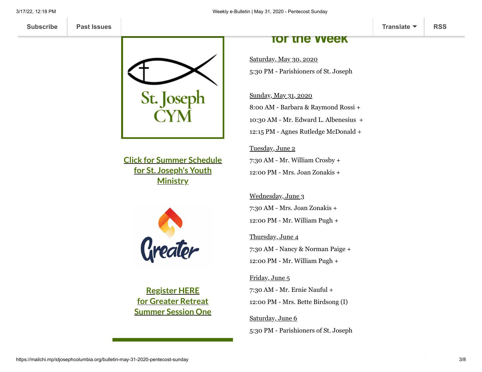

**Click for Summer Schedule for St. Joseph's Youth [Ministry](https://mcusercontent.com/d4b93555728ca5d7a7e530541/files/bd0bf620-2cda-4681-9e48-eae4d9b0af5e/STJCYM_Summer_2020.pdf)**



**Register HERE for Greater Retreat [Summer](https://mailchi.mp/65f1c4658b19/stjcym-greater) Session One**

## **for the Week**

Saturday, May 30, 2020 5:30 PM - Parishioners of St. Joseph

#### Sunday, May 31, 2020

8:00 AM - Barbara & Raymond Rossi + 10:30 AM - Mr. Edward L. Albenesius + 12:15 PM - Agnes Rutledge McDonald +

#### Tuesday, June 2

7:30 AM - Mr. William Crosby + 12:00 PM - Mrs. Joan Zonakis +

Wednesday, June 3 7:30 AM - Mrs. Joan Zonakis + 12:00 PM - Mr. William Pugh +

Thursday, June 4

7:30 AM - Nancy & Norman Paige + 12:00 PM - Mr. William Pugh +

Friday, June 5

7:30 AM - Mr. Ernie Nauful + 12:00 PM - Mrs. Bette Birdsong (I)

Saturday, June 6 5:30 PM - Parishioners of St. Joseph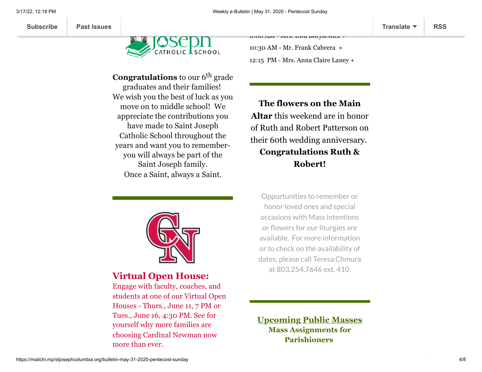



**Congratulations** to our 6<sup>th</sup> grade graduates and their families! We wish you the best of luck as you move on to middle school! We appreciate the contributions you have made to Saint Joseph Catholic School throughout the years and want you to rememberyou will always be part of the Saint Joseph family. Once a Saint, always a Saint.



## **Virtual Open House:**

Engage with faculty, coaches, and students at one of our Virtual Open Houses - Thurs., June 11, 7 PM or Tues., June 16, 4:30 PM. See for yourself why more families are choosing Cardinal Newman now more than ever.

 $0.00$  AM - MIS. EWA BOI YSTWICZ T

10:30 AM - Mr. Frank Cabrera + 12:15 PM - Mrs. Anna Claire Laney +

**The flowers on the Main Altar** this weekend are in honor of Ruth and Robert Patterson on their 60th wedding anniversary. **Congratulations Ruth & Robert!**

Opportunities to remember or honor loved ones and special occasions with Mass intentions or flowers for our liturgies are available. For more information or to check on the availability of dates, please call Teresa Chmura at 803.254.7646 ext. 410.

**Upcoming Public Masses Mass Assignments for Parishioners**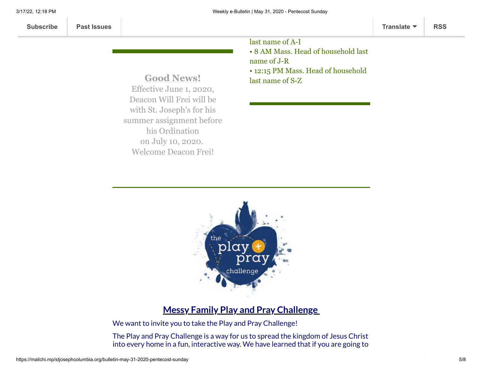last name of A-I • 8 AM Mass. Head of household last name of J-R • 12:15 PM Mass. Head of household last name of S-Z

**Good News!** Effective June 1, 2020, Deacon Will Frei will be with St. Joseph's for his summer assignment before his Ordination on July 10, 2020. Welcome Deacon Frei!

Visit [cnhs.org](https://linkprotect.cudasvc.com/url?a=http%3a%2f%2fcnhs.org%2f&c=E,1,ZxvVHJ5RuCSNLJOHJHujhzfQJOTQbeLjx14rYdg2CsArs_3m_yF4vUgT7XT4H02bUihpZJvibOHuzCoG_gLnvEjKyVx01nSDAYw1XIlr2Eqlup-lgA,,&typo=1) for details.



## **Messy Family Play and Pray Challenge**

We want to invite you to take the Play and Pray Challenge!

The Play and Pray Challenge is a way for us to spread the kingdom of Jesus Christ into every home in a fun, interactive way. We have learned that if you are going to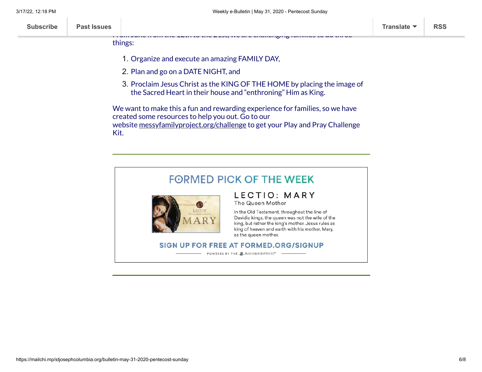From June from the 12th to the 21st, we are challenging families to do three

| <b>Past Issues</b><br><b>Subscribe</b> | Translate $\blacktriangledown$ | <b>RSS</b> |
|----------------------------------------|--------------------------------|------------|
|----------------------------------------|--------------------------------|------------|

things:

1. Organize and execute an amazing FAMILY DAY,

PRAY with your family, you need to PLAY with them!

- 2. Plan and go on a DATE NIGHT, and
- 3. Proclaim Jesus Christ as the KING OF THE HOME by placing the image of the Sacred Heart in their house and "enthroning" Him as King.

We want to make this a fun and rewarding experience for families, so we have created some resources to help you out. Go to our website [messyfamilyproject.org/challenge](https://linkprotect.cudasvc.com/url?a=https%3a%2f%2fso561.infusion-links.com%2fapi%2fv1%2fclick%2f5701382407192576%2f4775997464903680&c=E,1,g5694Cnv-rnTILvXPcLaB3t0hvSe0WdRLnUVvLDZjlR2XlfGxNA2P-qOglIMcx8OA6WRc6hmedEfcV3ugmtQtiYwLDX7oJM4gfVJBu4Nw1KWfPGuSNA,&typo=1) to get your Play and Pray Challenge Kit.

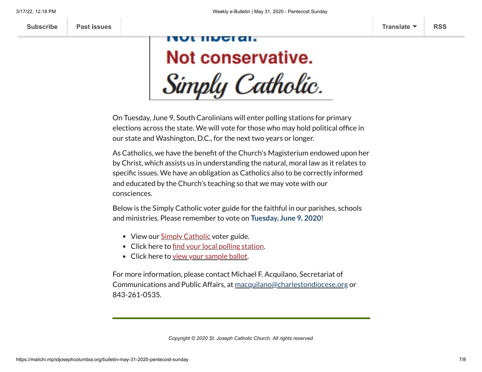# JL IIIJGI AI. Not conservative. Simply Catholic.

On Tuesday, June 9, South Carolinians will enter polling stations for primary elections across the state. We will vote for those who may hold political office in our state and Washington, D.C., for the next two years or longer.

As Catholics, we have the benefit of the Church's Magisterium endowed upon her by Christ, which assists us in understanding the natural, moral law as it relates to specific issues. We have an obligation as Catholics also to be correctly informed and educated by the Church's teaching so that we may vote with our consciences.

Below is the Simply Catholic voter guide for the faithful in our parishes, schools and ministries. Please remember to vote on **Tuesday, June 9, 2020**!

- View our **Simply [Catholic](http://r20.rs6.net/tn.jsp?f=001INvgsNffzq9SJLMLZhDdwifocm3gGvt8cqmal04qf5J-hZUqUITqwX9Juoupd9-mfcxDiYdevdGAB-BlxYxMZoP-19QE0CtvC9HQbNHQZ-v5qEg15Pfbn65KS7kJdLiNd6ypRuZlW1JXjiyPoMpgRhwxs4r8B-mrg1T8QQgO2jgptsJ90hhmklBji2X09z18nRG4FngL4PlZv9BeHbDb2_GYAyFA1up25CtAI9V-0lzi4tCfMYhflbGKWm5qVsww&c=8N37dgemmdOxwuTrF9-csg9Ephg-lNVV4j3AId8O_2OYEeigcqtyag==&ch=MVJtWLHgBdI7gZX4S4SD7BZHr5vkfIZg-OziJkD3xXkvuo2PI53rIA==)** voter guide.
- Click here to [find your](http://r20.rs6.net/tn.jsp?f=001INvgsNffzq9SJLMLZhDdwifocm3gGvt8cqmal04qf5J-hZUqUITqwWPc99cttP2Kxuxxtdo9cEPuRwC9LwrC0sk3_HdUjuwzZbRccbI9l86raMMVYvcT2nzotrMwXEO_DN1MOtpffwyqMyAZgxsxNRfA5nD0I1zYkLuyS5Yqh33bnLQ7UjOBQaE2fL2QqJZvrXUPqbghlSqfUEoqo-SryBR1doyPDdu2F5hzbVG8RG_Bcckfrf6nLuBU08-xbzUJCSrJz1NGvdSUOhPgNwfiFg==&c=8N37dgemmdOxwuTrF9-csg9Ephg-lNVV4j3AId8O_2OYEeigcqtyag==&ch=MVJtWLHgBdI7gZX4S4SD7BZHr5vkfIZg-OziJkD3xXkvuo2PI53rIA==) local polling station.
- Click here to view your [sample](http://r20.rs6.net/tn.jsp?f=001INvgsNffzq9SJLMLZhDdwifocm3gGvt8cqmal04qf5J-hZUqUITqwWPc99cttP2Kxuxxtdo9cEPuRwC9LwrC0sk3_HdUjuwzZbRccbI9l86raMMVYvcT2nzotrMwXEO_DN1MOtpffwyqMyAZgxsxNRfA5nD0I1zYkLuyS5Yqh33bnLQ7UjOBQaE2fL2QqJZvrXUPqbghlSqfUEoqo-SryBR1doyPDdu2F5hzbVG8RG_Bcckfrf6nLuBU08-xbzUJCSrJz1NGvdSUOhPgNwfiFg==&c=8N37dgemmdOxwuTrF9-csg9Ephg-lNVV4j3AId8O_2OYEeigcqtyag==&ch=MVJtWLHgBdI7gZX4S4SD7BZHr5vkfIZg-OziJkD3xXkvuo2PI53rIA==) ballot.

For more information, please contact Michael F. Acquilano, Secretariat of Communications and Public Affairs, at [macquilano@charlestondiocese.org](mailto:macquilano@charlestondiocese.org) or 843-261-0535.